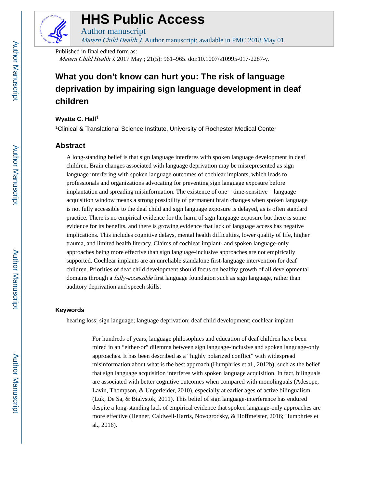

# **HHS Public Access**

Author manuscript Matern Child Health J. Author manuscript; available in PMC 2018 May 01.

Published in final edited form as:

Matern Child Health J. 2017 May ; 21(5): 961–965. doi:10.1007/s10995-017-2287-y.

# **What you don't know can hurt you: The risk of language deprivation by impairing sign language development in deaf children**

### **Wyatte C. Hall<sup>1</sup>**

<sup>1</sup>Clinical & Translational Science Institute, University of Rochester Medical Center

## **Abstract**

A long-standing belief is that sign language interferes with spoken language development in deaf children. Brain changes associated with language deprivation may be misrepresented as sign language interfering with spoken language outcomes of cochlear implants, which leads to professionals and organizations advocating for preventing sign language exposure before implantation and spreading misinformation. The existence of one – time-sensitive – language acquisition window means a strong possibility of permanent brain changes when spoken language is not fully accessible to the deaf child and sign language exposure is delayed, as is often standard practice. There is no empirical evidence for the harm of sign language exposure but there is some evidence for its benefits, and there is growing evidence that lack of language access has negative implications. This includes cognitive delays, mental health difficulties, lower quality of life, higher trauma, and limited health literacy. Claims of cochlear implant- and spoken language-only approaches being more effective than sign language-inclusive approaches are not empirically supported. Cochlear implants are an unreliable standalone first-language intervention for deaf children. Priorities of deaf child development should focus on healthy growth of all developmental domains through a *fully-accessible* first language foundation such as sign language, rather than auditory deprivation and speech skills.

### **Keywords**

hearing loss; sign language; language deprivation; deaf child development; cochlear implant

For hundreds of years, language philosophies and education of deaf children have been mired in an "either-or" dilemma between sign language-inclusive and spoken language-only approaches. It has been described as a "highly polarized conflict" with widespread misinformation about what is the best approach (Humphries et al., 2012b), such as the belief that sign language acquisition interferes with spoken language acquisition. In fact, bilinguals are associated with better cognitive outcomes when compared with monolinguals (Adesope, Lavin, Thompson, & Ungerleider, 2010), especially at earlier ages of active bilingualism (Luk, De Sa, & Bialystok, 2011). This belief of sign language-interference has endured despite a long-standing lack of empirical evidence that spoken language-only approaches are more effective (Henner, Caldwell-Harris, Novogrodsky, & Hoffmeister, 2016; Humphries et al., 2016).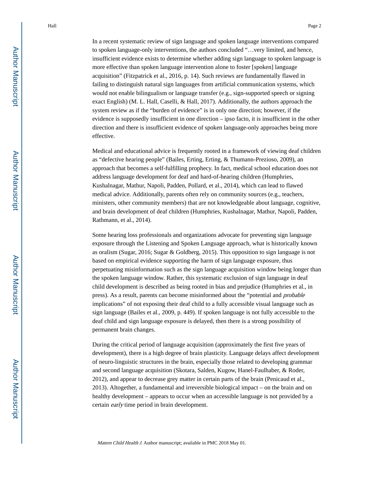In a recent systematic review of sign language and spoken language interventions compared to spoken language-only interventions, the authors concluded "…very limited, and hence, insufficient evidence exists to determine whether adding sign language to spoken language is more effective than spoken language intervention alone to foster [spoken] language acquisition" (Fitzpatrick et al., 2016, p. 14). Such reviews are fundamentally flawed in failing to distinguish natural sign languages from artificial communication systems, which would not enable bilingualism or language transfer (e.g., sign-supported speech or signing exact English) (M. L. Hall, Caselli, & Hall, 2017). Additionally, the authors approach the system review as if the "burden of evidence" is in only one direction; however, if the evidence is supposedly insufficient in one direction – ipso facto, it is insufficient in the other direction and there is insufficient evidence of spoken language-only approaches being more effective.

Medical and educational advice is frequently rooted in a framework of viewing deaf children as "defective hearing people" (Bailes, Erting, Erting, & Thumann-Prezioso, 2009), an approach that becomes a self-fulfilling prophecy. In fact, medical school education does not address language development for deaf and hard-of-hearing children (Humphries, Kushalnagar, Mathur, Napoli, Padden, Pollard, et al., 2014), which can lead to flawed medical advice. Additionally, parents often rely on community sources (e.g., teachers, ministers, other community members) that are not knowledgeable about language, cognitive, and brain development of deaf children (Humphries, Kushalnagar, Mathur, Napoli, Padden, Rathmann, et al., 2014).

Some hearing loss professionals and organizations advocate for preventing sign language exposure through the Listening and Spoken Language approach, what is historically known as oralism (Sugar, 2016; Sugar & Goldberg, 2015). This opposition to sign language is not based on empirical evidence supporting the harm of sign language exposure, thus perpetuating misinformation such as the sign language acquisition window being longer than the spoken language window. Rather, this systematic exclusion of sign language in deaf child development is described as being rooted in bias and prejudice (Humphries et al., in press). As a result, parents can become misinformed about the "potential and probable implications" of not exposing their deaf child to a fully accessible visual language such as sign language (Bailes et al., 2009, p. 449). If spoken language is not fully accessible to the deaf child and sign language exposure is delayed, then there is a strong possibility of permanent brain changes.

During the critical period of language acquisition (approximately the first five years of development), there is a high degree of brain plasticity. Language delays affect development of neuro-linguistic structures in the brain, especially those related to developing grammar and second language acquisition (Skotara, Salden, Kugow, Hanel-Faulhaber, & Roder, 2012), and appear to decrease grey matter in certain parts of the brain (Penicaud et al., 2013). Altogether, a fundamental and irreversible biological impact – on the brain and on healthy development – appears to occur when an accessible language is not provided by a certain early time period in brain development.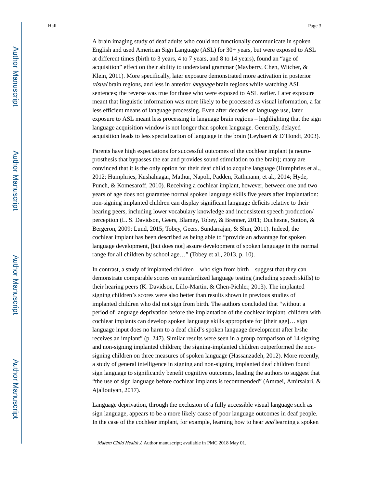A brain imaging study of deaf adults who could not functionally communicate in spoken English and used American Sign Language (ASL) for 30+ years, but were exposed to ASL at different times (birth to 3 years, 4 to 7 years, and 8 to 14 years), found an "age of acquisition" effect on their ability to understand grammar (Mayberry, Chen, Witcher, & Klein, 2011). More specifically, later exposure demonstrated more activation in posterior visual brain regions, and less in anterior language brain regions while watching ASL sentences; the reverse was true for those who were exposed to ASL earlier. Later exposure meant that linguistic information was more likely to be processed as visual information, a far less efficient means of language processing. Even after decades of language use, later exposure to ASL meant less processing in language brain regions – highlighting that the sign language acquisition window is not longer than spoken language. Generally, delayed acquisition leads to less specialization of language in the brain (Leybaert & D'Hondt, 2003).

Parents have high expectations for successful outcomes of the cochlear implant (a neuroprosthesis that bypasses the ear and provides sound stimulation to the brain); many are convinced that it is the only option for their deaf child to acquire language (Humphries et al., 2012; Humphries, Kushalnagar, Mathur, Napoli, Padden, Rathmann, et al., 2014; Hyde, Punch, & Komesaroff, 2010). Receiving a cochlear implant, however, between one and two years of age does not guarantee normal spoken language skills five years after implantation: non-signing implanted children can display significant language deficits relative to their hearing peers, including lower vocabulary knowledge and inconsistent speech production/ perception (L. S. Davidson, Geers, Blamey, Tobey, & Brenner, 2011; Duchesne, Sutton, & Bergeron, 2009; Lund, 2015; Tobey, Geers, Sundarrajan, & Shin, 2011). Indeed, the cochlear implant has been described as being able to "provide an advantage for spoken language development, [but does not] assure development of spoken language in the normal range for all children by school age…" (Tobey et al., 2013, p. 10).

In contrast, a study of implanted children – who sign from birth – suggest that they can demonstrate comparable scores on standardized language testing (including speech skills) to their hearing peers (K. Davidson, Lillo-Martin, & Chen-Pichler, 2013). The implanted signing children's scores were also better than results shown in previous studies of implanted children who did not sign from birth. The authors concluded that "without a period of language deprivation before the implantation of the cochlear implant, children with cochlear implants can develop spoken language skills appropriate for [their age]… sign language input does no harm to a deaf child's spoken language development after h/she receives an implant" (p. 247). Similar results were seen in a group comparison of 14 signing and non-signing implanted children; the signing-implanted children outperformed the nonsigning children on three measures of spoken language (Hassanzadeh, 2012). More recently, a study of general intelligence in signing and non-signing implanted deaf children found sign language to significantly benefit cognitive outcomes, leading the authors to suggest that "the use of sign language before cochlear implants is recommended" (Amraei, Amirsalari, & Ajallouiyan, 2017).

Language deprivation, through the exclusion of a fully accessible visual language such as sign language, appears to be a more likely cause of poor language outcomes in deaf people. In the case of the cochlear implant, for example, learning how to hear *and* learning a spoken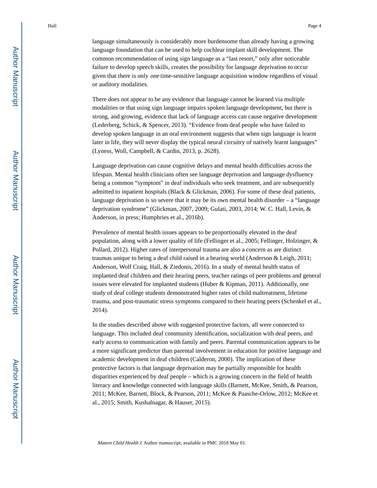language simultaneously is considerably more burdensome than already having a growing language foundation that can be used to help cochlear implant skill development. The common recommendation of using sign language as a "last resort," only after noticeable failure to develop speech skills, creates the possibility for language deprivation to occur given that there is only one time-sensitive language acquisition window regardless of visual or auditory modalities.

There does not appear to be any evidence that language cannot be learned via multiple modalities or that using sign language impairs spoken language development, but there is strong, and growing, evidence that lack of language access can cause negative development (Lederberg, Schick, & Spencer, 2013). "Evidence from deaf people who have failed to develop spoken language in an oral environment suggests that when sign language is learnt later in life, they will never display the typical neural circuitry of natively learnt languages" (Lyness, Woll, Campbell, & Cardin, 2013, p. 2628).

Language deprivation can cause cognitive delays and mental health difficulties across the lifespan. Mental health clinicians often see language deprivation and language dysfluency being a common "symptom" in deaf individuals who seek treatment, and are subsequently admitted to inpatient hospitals (Black & Glickman, 2006). For some of these deaf patients, language deprivation is so severe that it may be its own mental health disorder – a "language deprivation syndrome" (Glickman, 2007, 2009; Gulati, 2003, 2014; W. C. Hall, Levin, & Anderson, in press; Humphries et al., 2016b).

Prevalence of mental health issues appears to be proportionally elevated in the deaf population, along with a lower quality of life (Fellinger et al., 2005; Fellinger, Holzinger, & Pollard, 2012). Higher rates of interpersonal trauma are also a concern as are distinct traumas unique to being a deaf child raised in a hearing world (Anderson & Leigh, 2011; Anderson, Wolf Craig, Hall, & Ziedonis, 2016). In a study of mental health status of implanted deaf children and their hearing peers, teacher ratings of peer problems and general issues were elevated for implanted students (Huber & Kipman, 2011). Additionally, one study of deaf college students demonstrated higher rates of child maltreatment, lifetime trauma, and post-traumatic stress symptoms compared to their hearing peers (Schenkel et al., 2014).

In the studies described above with suggested protective factors, all were connected to language. This included deaf community identification, socialization with deaf peers, and early access to communication with family and peers. Parental communication appears to be a more significant predictor than parental involvement in education for positive language and academic development in deaf children (Calderon, 2000). The implication of these protective factors is that language deprivation may be partially responsible for health disparities experienced by deaf people – which is a growing concern in the field of health literacy and knowledge connected with language skills (Barnett, McKee, Smith, & Pearson, 2011; McKee, Barnett, Block, & Pearson, 2011; McKee & Paasche-Orlow, 2012; McKee et al., 2015; Smith, Kushalnagar, & Hauser, 2015).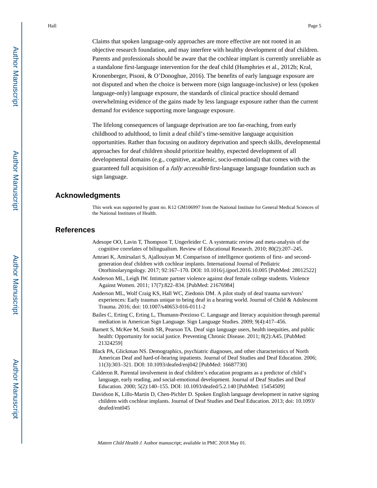Claims that spoken language-only approaches are more effective are not rooted in an objective research foundation, and may interfere with healthy development of deaf children. Parents and professionals should be aware that the cochlear implant is currently unreliable as a standalone first-language intervention for the deaf child (Humphries et al., 2012b; Kral, Kronenberger, Pisoni, & O'Donoghue, 2016). The benefits of early language exposure are not disputed and when the choice is between more (sign language-inclusive) or less (spoken language-only) language exposure, the standards of clinical practice should demand overwhelming evidence of the gains made by less language exposure rather than the current demand for evidence supporting more language exposure.

The lifelong consequences of language deprivation are too far-reaching, from early childhood to adulthood, to limit a deaf child's time-sensitive language acquisition opportunities. Rather than focusing on auditory deprivation and speech skills, developmental approaches for deaf children should prioritize healthy, expected development of all developmental domains (e.g., cognitive, academic, socio-emotional) that comes with the guaranteed full acquisition of a *fully accessible* first-language language foundation such as sign language.

#### **Acknowledgments**

This work was supported by grant no. K12 GM106997 from the National Institute for General Medical Sciences of the National Institutes of Health.

#### **References**

- Adesope OO, Lavin T, Thompson T, Ungerleider C. A systematic review and meta-analysis of the cognitive correlates of bilingualism. Review of Educational Research. 2010; 80(2):207–245.
- Amraei K, Amirsalari S, Ajallouiyan M. Comparison of intelligence quotients of first- and secondgeneration deaf children with cochlear implants. International Journal of Pediatric Otorhinolaryngology. 2017; 92:167–170. DOI: 10.1016/j.ijporl.2016.10.005 [PubMed: 28012522]
- Anderson ML, Leigh IW. Intimate partner violence against deaf female college students. Violence Against Women. 2011; 17(7):822–834. [PubMed: 21676984]
- Anderson ML, Wolf Craig KS, Hall WC, Ziedonis DM. A pilot study of deaf trauma survivors' experiences: Early traumas unique to being deaf in a hearing world. Journal of Child & Adolescent Trauma. 2016; doi: 10.1007/s40653-016-0111-2
- Bailes C, Erting C, Erting L, Thumann-Prezioso C. Language and literacy acquisition through parental mediation in American Sign Language. Sign Language Studies. 2009; 9(4):417–456.
- Barnett S, McKee M, Smith SR, Pearson TA. Deaf sign language users, health inequities, and public health: Opportunity for social justice. Preventing Chronic Disease. 2011; 8(2):A45. [PubMed: 21324259]
- Black PA, Glickman NS. Demographics, psychiatric diagnoses, and other characteristics of North American Deaf and hard-of-hearing inpatients. Journal of Deaf Studies and Deaf Education. 2006; 11(3):303–321. DOI: 10.1093/deafed/enj042 [PubMed: 16687730]
- Calderon R. Parental involvement in deaf children's education programs as a predictor of child's language, early reading, and social-emotional development. Journal of Deaf Studies and Deaf Education. 2000; 5(2):140–155. DOI: 10.1093/deafed/5.2.140 [PubMed: 15454509]
- Davidson K, Lillo-Martin D, Chen-Pichler D. Spoken English language development in native signing children with cochlear implants. Journal of Deaf Studies and Deaf Education. 2013; doi: 10.1093/ deafed/ent045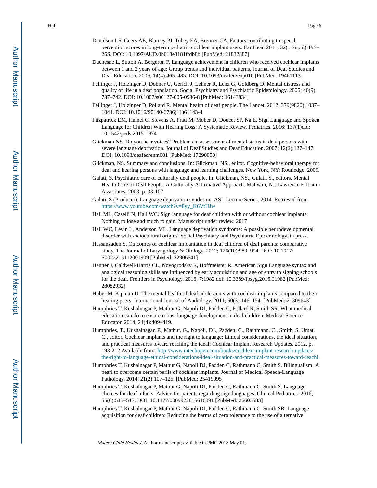- Davidson LS, Geers AE, Blamey PJ, Tobey EA, Brenner CA. Factors contributing to speech perception scores in long-term pediatric cochlear implant users. Ear Hear. 2011; 32(1 Suppl):19S– 26S. DOI: 10.1097/AUD.0b013e3181ffdb8b [PubMed: 21832887]
- Duchesne L, Sutton A, Bergeron F. Language achievement in children who received cochlear implants between 1 and 2 years of age: Group trends and individual patterns. Journal of Deaf Studies and Deaf Education. 2009; 14(4):465–485. DOI: 10.1093/deafed/enp010 [PubMed: 19461113]
- Fellinger J, Holzinger D, Dobner U, Gerich J, Lehner R, Lenz G, Goldberg D. Mental distress and quality of life in a deaf population. Social Psychiatry and Psychiatric Epidemiology. 2005; 40(9): 737–742. DOI: 10.1007/s00127-005-0936-8 [PubMed: 16143834]
- Fellinger J, Holzinger D, Pollard R. Mental health of deaf people. The Lancet. 2012; 379(9820):1037– 1044. DOI: 10.1016/S0140-6736(11)61143-4
- Fitzpatrick EM, Hamel C, Stevens A, Pratt M, Moher D, Doucet SP, Na E. Sign Language and Spoken Language for Children With Hearing Loss: A Systematic Review. Pediatrics. 2016; 137(1)doi: 10.1542/peds.2015-1974
- Glickman NS. Do you hear voices? Problems in assessment of mental status in deaf persons with severe language deprivation. Journal of Deaf Studies and Deaf Education. 2007; 12(2):127–147. DOI: 10.1093/deafed/enm001 [PubMed: 17290050]
- Glickman, NS. Summary and conclusions. In: Glickman, NS., editor. Cognitive-behavioral therapy for deaf and hearing persons with language and learning challenges. New York, NY: Routledge; 2009.
- Gulati, S. Psychiatric care of culturally deaf people. In: Glickman, NS., Gulati, S., editors. Mental Health Care of Deaf People: A Culturally Affirmative Approach. Mahwah, NJ: Lawrence Erlbaum Associates; 2003. p. 33-107.
- Gulati, S (Producer). Language deprivation syndrome. ASL Lecture Series. 2014. Retrieved from [https://www.youtube.com/watch?v=8yy\\_K6VtHJw](https://www.youtube.com/watch?v=8yy_K6VtHJw)
- Hall ML, Caselli N, Hall WC. Sign language for deaf children with or without cochlear implants: Nothing to lose and much to gain. Manuscript under review. 2017
- Hall WC, Levin L, Anderson ML. Language deprivation syndrome: A possible neurodevelopmental disorder with sociocultural origins. Social Psychiatry and Psychiatric Epidemiology. in press.
- Hassanzadeh S. Outcomes of cochlear implantation in deaf children of deaf parents: comparative study. The Journal of Laryngology & Otology. 2012; 126(10):989–994. DOI: 10.1017/ S0022215112001909 [PubMed: 22906641]
- Henner J, Caldwell-Harris CL, Novogrodsky R, Hoffmeister R. American Sign Language syntax and analogical reasoning skills are influenced by early acquisition and age of entry to signing schools for the deaf. Frontiers in Psychology. 2016; 7:1982.doi: 10.3389/fpsyg.2016.01982 [PubMed: 28082932]
- Huber M, Kipman U. The mental health of deaf adolescents with cochlear implants compared to their hearing peers. International Journal of Audiology. 2011; 50(3):146-154. [PubMed: 21309643]
- Humphries T, Kushalnagar P, Mathur G, Napoli DJ, Padden C, Pollard R, Smith SR. What medical education can do to ensure robust language development in deaf children. Medical Science Educator. 2014; 24(4):409–419.
- Humphries, T., Kushalnagar, P., Mathur, G., Napoli, DJ., Padden, C., Rathmann, C., Smith, S. Umat, C., editor. Cochlear implants and the right to language: Ethical considerations, the ideal situation, and practical measures toward reaching the ideal; Cochlear Implant Research Updates. 2012. p. 193-212.Available from: [http://www.intechopen.com/books/cochlear-implant-research-updates/](http://www.intechopen.com/books/cochlear-implant-research-updates/the-right-to-language-ethical-considerations-ideal-situation-and-practical-measures-toward-reachi) [the-right-to-language-ethical-considerations-ideal-situation-and-practical-measures-toward-reachi](http://www.intechopen.com/books/cochlear-implant-research-updates/the-right-to-language-ethical-considerations-ideal-situation-and-practical-measures-toward-reachi)
- Humphries T, Kushalnagar P, Mathur G, Napoli DJ, Padden C, Rathmann C, Smith S. Bilingualism: A pearl to overcome certain perils of cochlear implants. Journal of Medical Speech-Language Pathology. 2014; 21(2):107–125. [PubMed: 25419095]
- Humphries T, Kushalnagar P, Mathur G, Napoli DJ, Padden C, Rathmann C, Smith S. Language choices for deaf infants: Advice for parents regarding sign languages. Clinical Pediatrics. 2016; 55(6):513–517. DOI: 10.1177/0009922815616891 [PubMed: 26603583]
- Humphries T, Kushalnagar P, Mathur G, Napoli DJ, Padden C, Rathmann C, Smith SR. Language acquisition for deaf children: Reducing the harms of zero tolerance to the use of alternative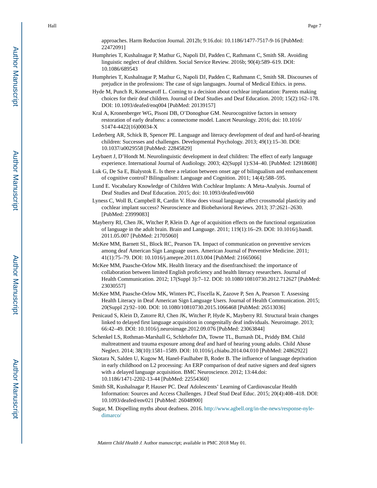approaches. Harm Reduction Journal. 2012b; 9:16.doi: 10.1186/1477-7517-9-16 [PubMed: 22472091]

- Humphries T, Kushalnagar P, Mathur G, Napoli DJ, Padden C, Rathmann C, Smith SR. Avoiding linguistic neglect of deaf children. Social Service Review. 2016b; 90(4):589–619. DOI: 10.1086/689543
- Humphries T, Kushalnagar P, Mathur G, Napoli DJ, Padden C, Rathmann C, Smith SR. Discourses of prejudice in the professions: The case of sign languages. Journal of Medical Ethics. in press.
- Hyde M, Punch R, Komesaroff L. Coming to a decision about cochlear implantation: Parents making choices for their deaf children. Journal of Deaf Studies and Deaf Education. 2010; 15(2):162–178. DOI: 10.1093/deafed/enq004 [PubMed: 20139157]
- Kral A, Kronenberger WG, Pisoni DB, O'Donoghue GM. Neurocognitive factors in sensory restoration of early deafness: a connectome model. Lancet Neurology. 2016; doi: 10.1016/ S1474-4422(16)00034-X
- Lederberg AR, Schick B, Spencer PE. Language and literacy development of deaf and hard-of-hearing children: Successes and challenges. Developmental Psychology. 2013; 49(1):15–30. DOI: 10.1037/a0029558 [PubMed: 22845829]
- Leybaert J, D'Hondt M. Neurolinguistic development in deaf children: The effect of early language experience. International Journal of Audiology. 2003; 42(Suppl 1):S34–40. [PubMed: 12918608]
- Luk G, De Sa E, Bialystok E. Is there a relation between onset age of bilingualism and ennhancement of cognitive control? Bilingualism: Language and Cognition. 2011; 14(4):588–595.
- Lund E. Vocabulary Knowledge of Children With Cochlear Implants: A Meta-Analysis. Journal of Deaf Studies and Deaf Education. 2015; doi: 10.1093/deafed/env060
- Lyness C, Woll B, Campbell R, Cardin V. How does visual language affect crossmodal plasticity and cochlear implant success? Neuroscience and Biobehavioral Reviews. 2013; 37:2621–2630. [PubMed: 23999083]
- Mayberry RI, Chen JK, Witcher P, Klein D. Age of acquisition effects on the functional organization of language in the adult brain. Brain and Language. 2011; 119(1):16–29. DOI: 10.1016/j.bandl. 2011.05.007 [PubMed: 21705060]
- McKee MM, Barnett SL, Block RC, Pearson TA. Impact of communication on preventive services among deaf American Sign Language users. American Journal of Preventive Medicine. 2011; 41(1):75–79. DOI: 10.1016/j.amepre.2011.03.004 [PubMed: 21665066]
- McKee MM, Paasche-Orlow MK. Health literacy and the disenfranchised: the importance of collaboration between limited English proficiency and health literacy researchers. Journal of Health Communication. 2012; 17(Suppl 3):7–12. DOI: 10.1080/10810730.2012.712627 [PubMed: 23030557]
- McKee MM, Paasche-Orlow MK, Winters PC, Fiscella K, Zazove P, Sen A, Pearson T. Assessing Health Literacy in Deaf American Sign Language Users. Journal of Health Communication. 2015; 20(Suppl 2):92–100. DOI: 10.1080/10810730.2015.1066468 [PubMed: 26513036]
- Penicaud S, Klein D, Zatorre RJ, Chen JK, Witcher P, Hyde K, Mayberry RI. Structural brain changes linked to delayed first language acquisition in congenitally deaf individuals. Neuroimage. 2013; 66:42–49. DOI: 10.1016/j.neuroimage.2012.09.076 [PubMed: 23063844]
- Schenkel LS, Rothman-Marshall G, Schlehofer DA, Towne TL, Burnash DL, Priddy BM. Child maltreatment and trauma exposure among deaf and hard of hearing young adults. Child Abuse Neglect. 2014; 38(10):1581–1589. DOI: 10.1016/j.chiabu.2014.04.010 [PubMed: 24862922]
- Skotara N, Salden U, Kugow M, Hanel-Faulhaber B, Roder B. The influence of language deprivation in early childhood on L2 processing: An ERP comparison of deaf native signers and deaf signers with a delayed language acquisition. BMC Neuroscience. 2012; 13:44.doi: 10.1186/1471-2202-13-44 [PubMed: 22554360]
- Smith SR, Kushalnagar P, Hauser PC. Deaf Adolescents' Learning of Cardiovascular Health Information: Sources and Access Challenges. J Deaf Stud Deaf Educ. 2015; 20(4):408–418. DOI: 10.1093/deafed/env021 [PubMed: 26048900]
- Sugar, M. Dispelling myths about deafness. 2016. [http://www.agbell.org/in-the-news/response-nyle](http://www.agbell.org/in-the-news/response-nyle-dimarco/)[dimarco/](http://www.agbell.org/in-the-news/response-nyle-dimarco/)